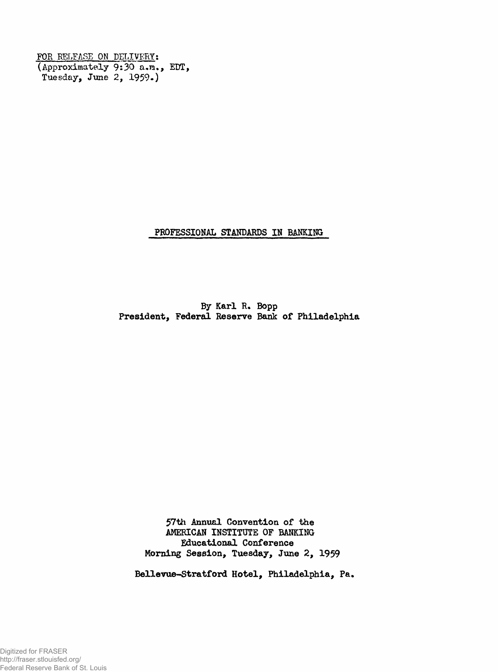**FOR RELEASE ON DELIVERY: (Approximately 9:30 a,m, EDT, Tuesday, June 2, 1959.)**

**PROFESSIONAL STANDARDS IN BANKING**

**By Karl R. Bopp President, Federal Reserve Bank of Philadelphia**

> **57th Annual Convention of the AMERICAN INSTITUTE OF BANKING Educational Conference Morning Session, Tuesday, June 2, 1959**

**BeHevue-Stratford Hotel, Philadelphia, Pa.**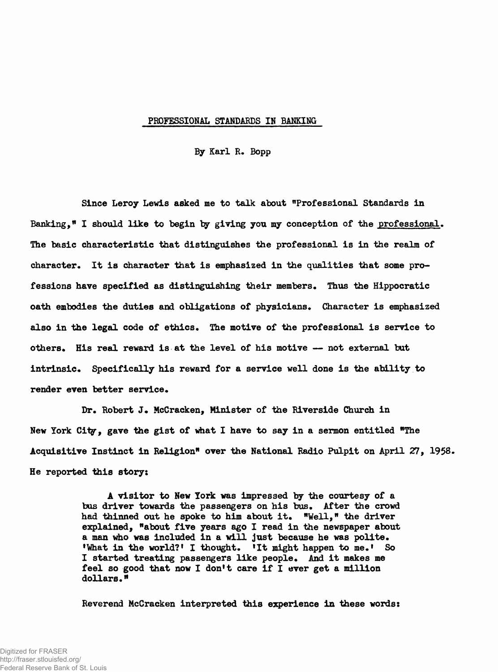## **PROFESSIONAL STANDARDS IN BANKING**

**By Karl R. Bopp**

**Since Leroy Lewis asked me to talk about "Professional Standards in Banking," I should like to begin by giving you my conception of the professional. The basic characteristic that distinguishes the professional is in the realm of character. It is character that is emphasized in the qualities that some professions have specified as distinguishing their members. Thus the Hippocratic oath embodies the duties and obligations of physicians. Character is emphasized also in the legal code of ethics. The motive of the professional is service to others\* His real reward is at the level of his motive — not external but intrinsic\* Specifically his reward for a service well done is the ability to** render even better service.

**Dr. Robert J. McCracken, Minister of the Riverside Church in New York City, gave the gist of what I have to say in a sermon entitled "The Acquisitive Instinct in Religion" over the National Radio Pulpit on April 27, 1958. He reported this story:**

> **A visitor to New York was impressed by the courtesy of a bus driver towards the passengers on his bus. After the crowd** had thinned out he spoke to him about it. "Well," the driver **explained, "about five years ago I read in the newspaper about a man who was included in a will just because he was polite. 'What in the world?' I thought. 'It might happen to me.' So I started treating passengers like people\* And it makes me feel so good that now I don't care if I ever get a million** dollars."

> **Reverend McCracken interpreted this experience in these words:**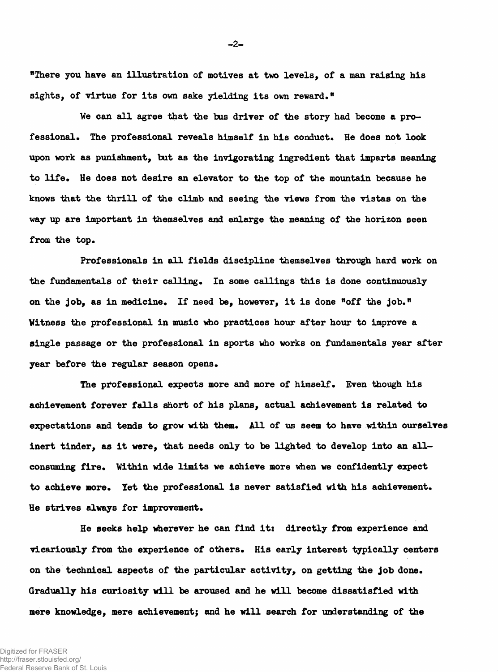**"There you have an illustration of motives at two levels, of a man raising his sights, of virtue for its own sake yielding its own reward,"**

**We can all agree that the bus driver of the story had become a pro**fessional. The professional reveals himself in his conduct. He does not look **upon work as punishment, but as the invigorating ingredient that imparts meaning to life\* He does not desire an elevator to the top of the mountain because he knows that the thrill of the climb and seeing the views from the vistas on the way up are important in themselves and enlarge the meaning of the horizon seen** from the top.

**Professionals in all fields discipline themselves through hard work on the fundamentals of their calling\* In some callings this is done continuously** on the job, as in medicine. If need be, however, it is done "off the job." **Witness the professional in music who practices hour after hour to improve a single passage or the professional in sports who works on fundamentals year after year before the regular season opens.**

**The professional expects more and more of himself. Even though his achievement forever falls short of his plans, actual achievement is related to expectations and tends to grow with them\* All of us seem to have within ourselves inert tinder, as it were, that needs only to be lighted to develop into an allconsuming fire. Within wide limits we achieve more when we confidently expect** to achieve more. Yet the professional is never satisfied with his achievement. He strives always for improvement.

**He seeks help wherever he can find it: directly from experience and vicariously from the experience of others. His early interest typically centers on the technical aspects of the particular activity, on getting the job done\* Gradually his curiosity will be aroused and he will become dissatisfied with mere knowledge, mere achievement; and he will search for understanding of the**

**-2-**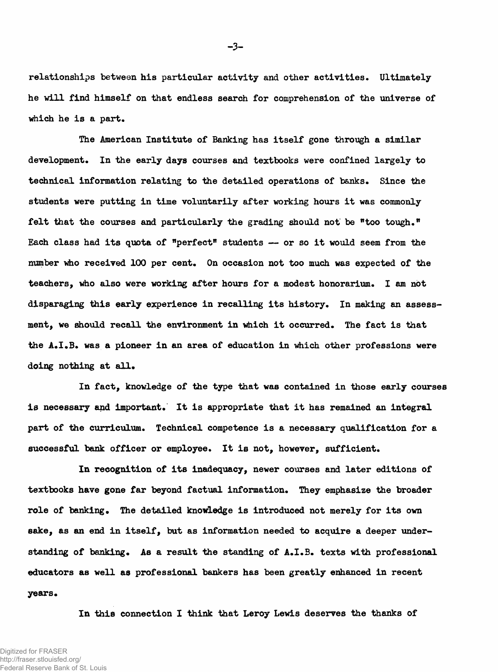**relationships between his particular activity and other activities\* Ultimately he will find himself on that endless search for comprehension of the universe of which he is a part.**

**The American Institute of Banking has itself gone through a similar** development. In the early days courses and textbooks were confined largely to technical information relating to the detailed operations of banks. Since the **students were putting in time voluntarily after working hours it was commonly felt that the courses and particularly the grading should not be "too tough." Each class had its quota of "perfect" students — or so it would seem from the number who received 100 per cent. On occasion not too much was expected of the teachers, who also were working after hours for a modest honorarium. I am not disparaging this early experience in recalling its history. In making an assessment, we should recall the environment in which it occurred. The fact is that** the A.I.B. was a pioneer in an area of education in which other professions were doing nothing at all.

**In fact, knowledge of the type that was contained in those early courses** is necessary and important. It is appropriate that it has remained an integral **part of the curriculum. Technical competence is a necessary qualification for a successful bank officer or employee. It is not, however, sufficient.**

**In recognition of its inadequacy, newer courses and later editions of** textbooks have gone far beyond factual information. They emphasize the broader role of banking. The detailed knowledge is introduced not merely for its own **sake, as an end in itself, but as information needed to acquire a deeper understanding of banking\* As a result the standing of A.I.B. texts with professional educators as well as professional bankers has been greatly enhanced in recent years\***

**In this connection I think that Leroy Lewis deserves the thanks of**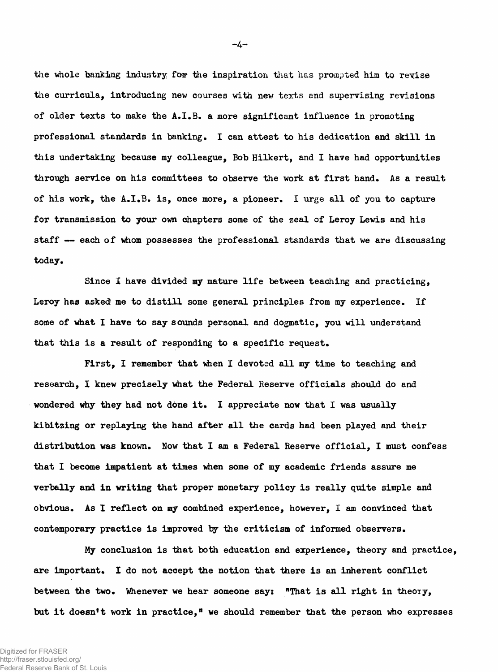the whole banking industry for the inspiration that has prompted him to revise **the curricula, introducing new courses with nev; texts and supervising revisions of older texts to make the A.I.B. a more significant influence in promoting professional standards in banking, I can attest to his dedication and skill in this undertaking because my colleague, Bob Hilkert, and I have had opportunities through service on his committees to observe the work at first hand. As a result of his work, the A.I.B. is, once more, a pioneer. I urge all of you to capture for transmission to your own chapters some of the zeal of Leroy Lewis and his staff — each of Whom possesses the professional standards that we are discussing today.**

**Since I have divided my mature life between teaching and practicing, Leroy has asked me to distill some general principles from my experience. If some of what I have to say sounds personal and dogmatic, you will understand that this is a result of responding to a specific request.**

**First, I remember that when I devoted all my time to teaching and research, I knew precisely what the Federal Reserve officials should do and wondered why they had not done it. I appreciate now that I was usually kibitzing or replaying the hand after all the cards had been played and their distribution was known. Now that I am a Federal Reserve official, I must confess that I become impatient at times when some of my academic friends assure me verbally and in writing that proper monetary policy is really quite simple and obvious. As I reflect on my combined experience, however, I am convinced that contemporary practice is improved by the criticism of informed observers.**

**My conclusion is that both education and experience, theory and practice, are important. I do not accept the notion that there is an inherent conflict between the two. Whenever we hear someone say: "That is all right in theoiy, but it doesn't work in practice," we should remember that the person who expresses**

**-4-**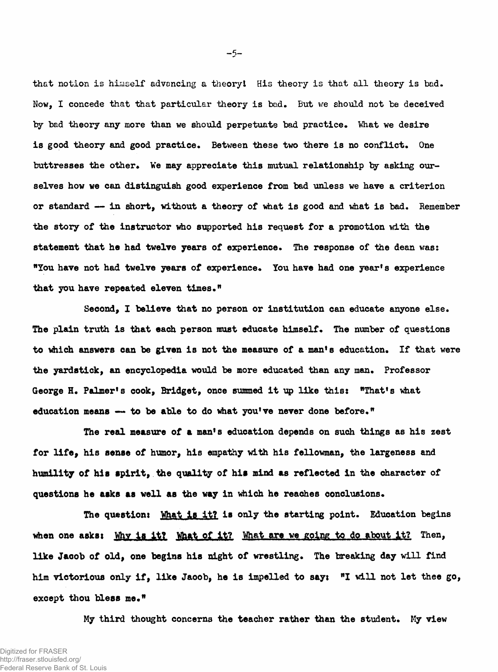**that notion is himself advancing a theory I His theory is that all theory is bad. Now, I concede that that particular theory is bad. But we should not be deceived** by bad theory any more than we should perpetuate bad practice. What we desire **is good theory and good practice. Between these two there is no conflict. One** buttresses the other. We may appreciate this mutual relationship by asking our**selves how we can distinguish good experience from bad unless we have a criterion or standard — in short, without a theory of what is good and what is bad. Remember the story of the instructor who supported his request for a promotion with the statement that he had twelve years of experience. The response of the dean was: "You have not had twelve years of experience. You have had one year's experience** that you have repeated eleven times."

**Second, I believe that no person or institution can educate anyone else.** The plain truth is that each person must educate himself. The number of questions **to which answers can be given is not the measure of a man's education\* If that were the yardstick, an encyclopedia would be more educated than any man\* Professor George H\* Palmer's cook, Bridget, once summed it up like this: "That's what** education means — to be able to do what you've never done before."

**The real measure of** a **man's education depends on such things as his zest for life, his sense of humor, his empathy with his fellowman, the largeness and humility of his spirit, the quality of his mind** as **reflected in the character of questions he** asks as **well as the way in which he reaches conclusions\***

**The question: What is it? is only the starting point. Education begins** when one asks: Why is it? What of it? What are we going to do about it? Then, **like Jacob of old, one begins his night of wrestling. The breaking day will find him victorious only if, like Jaoob, he is impelled to sayi "I will not let thee go,** except thou bless me."

**My third thought concerns the teacher rather than the student. My view**

 $-5-$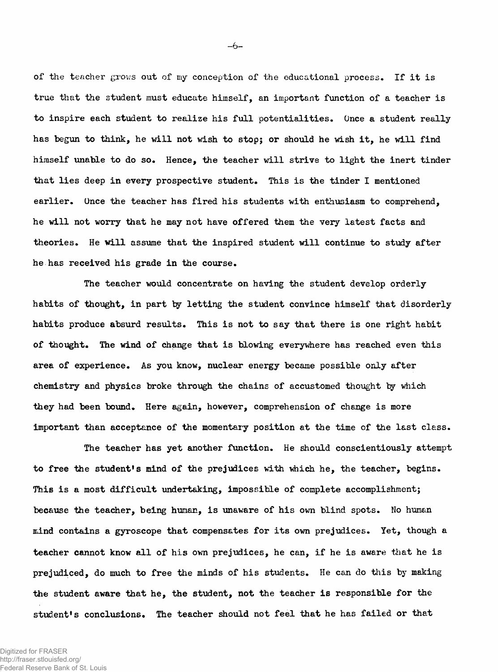**of the teacher grows out of my conception of the educational process. If it is true that the student must educate himself, an important function of a teacher is to inspire each student to realize his full potentialities. Once a student really has begun to think, he will not wish to stop; or should he wish it, he will find himself unable to do so. Hence, the teacher will strive to light the inert tinder that lies deep in every prospective student. This is the tinder I mentioned earlier. Once the teacher has fired his students with enthusiasm to comprehend, he will not worry that he may not have offered them the very latest facts and theories. He will assume that the inspired student will continue to study after he has received his grade in the course.**

**The teacher would concentrate on having the student develop orderly habits of thought, in part by letting the student convince himself that disorderly habits produce absurd results. This is not to say that there is one right habit of thought. The wind of change that is blowing everywhere has reached even this area of experience. As you know, nuclear energy became possible only after chemistry and physics broke through the chains of accustomed thought by which they had been bound. Here again, however, comprehension of change is more important than acceptance of the momentary position at the time of the last class.**

**The teacher has yet another function. He should conscientiously attempt to free the student's mind of the prejudices with which he, the teacher, begins. This is a most difficult undertaking, impossible of complete accomplishment; because the teacher, being human, Is unaware of his own blind spots. No human mind contains a gyroscope that compensates for its own prejudices. Yet, though a teacher cannot know all of his own prejudices, he can, if he is aware that he is prejudiced, do much to free the minds of his students. He can do this by making the student aware that he, the student, not the teacher is responsible for the** student's conclusions. The teacher should not feel that he has failed or that

 $-6-$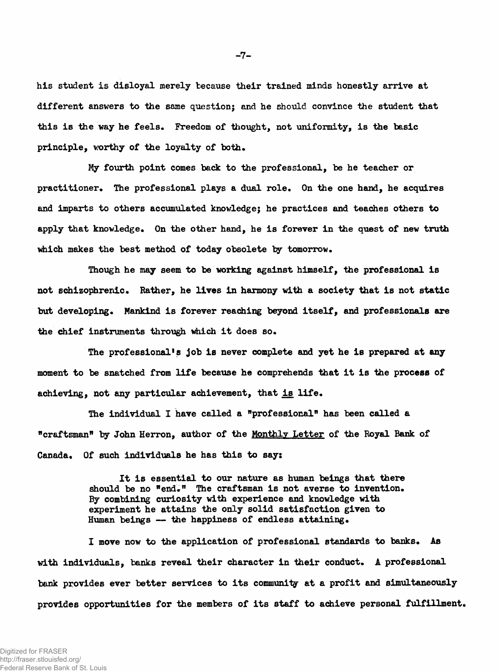**his student is disloyal merely because their trained minds honestly arrive at different answers to the same question; and he should convince the student that this is the way he feels. Freedom of thought, not uniformity, is the basic principle, worthy of the loyalty of both.**

**My fourth point comes back to the professional, be he teacher or practitioner. The professional plays a dual role. On the one hand, he acquires and imparts to others accumulated knowledge; he practices and teaches others to apply that knowledge. On the other hand, he is forever in the quest of new truth which makes the best method of today obsolete by tomorrow.**

**Though he may seem to be working against himself, the professional is not schizophrenic. Rather, he lives in harmony with a society that is not static but developing. Mankind is forever reaching beyond itself, and professionals are the chief instruments through which it does so.**

**The professional1? job is never complete and yet he is prepared at any moment to be snatched from life because he comprehends that it is the process of achieving, not any particular achievement, that is life.**

**The individual 1 have called a "professional" has been called a "craftsman" by John Herron, author of the Monthly Letter of the Royal Bank of Canada. Of such individuals he has this to say:**

> **It is essential to our nature as human beings that there** should be no "end." The craftsman is not averse to invention. **By combining curiosity with experience and knowledge with experiment he attains the only solid satisfaction given to Human beings — the happiness of endless attaining.**

**I move now to the application of professional standards to banks. As with individuals, banks reveal their character in their conduct. A professional bank provides ever better services to its community at a profit and simultaneously provides opportunities for the members of its staff to achieve personal fulfillment.**

 $-7-$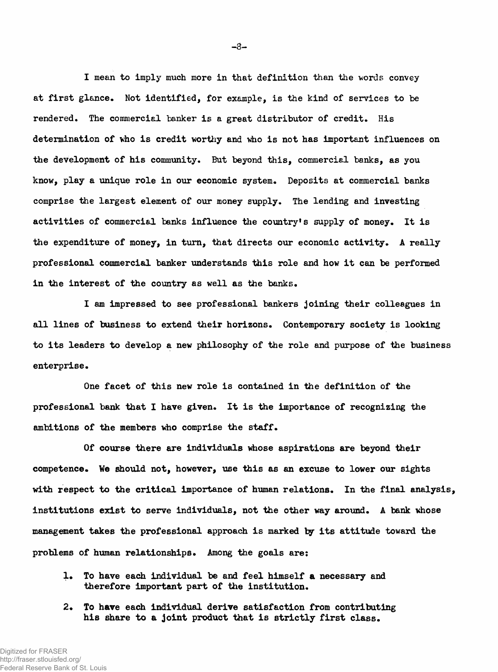**I mean to imply much more in that definition than the words convey** at first glance. Not identified, for example, is the kind of services to be rendered. The commercial banker is a great distributor of credit. His **determination of who is credit worthy and who is not has important influences on the development of his community. But beyond this, commercial banks, as you know, play a unique role in our economic system. Deposits at commercial banks comprise the largest element of our money supply. The lending and investing activities of commercial banks influence the country's supply of money. It is** the expenditure of money, in turn, that directs our economic activity. A really **professional commercial banker understands this role and how it can be performed in the interest of the country as well as the banks.**

**I am impressed to see professional bankers joining their colleagues in all lines of business to extend their horizons. Contemporary society is looking to its leaders to develop a new philosophy of the role and purpose of the business enterprise.**

**One facet of this new role is contained in the definition of the professional bank that I have given. It is the importance of recognizing the** ambitions of the members who comprise the staff.

**Of course there are individuals whose aspirations are beyond their competence. We should not, however, use this as an excuse to lower our sights with respect to the critical importance of human relations. In the final analysis, institutions exist to serve individuals, not the other way around. A bank whose management takes the professional approach is marked by its attitude toward the** problems of human relationships. Among the goals are:

- 1. To have each individual be and feel himself a necessary and **therefore important part of the institution.**
- **2\* To have each individual derive satisfaction from contributing his share to a joint product that is strictly first class.**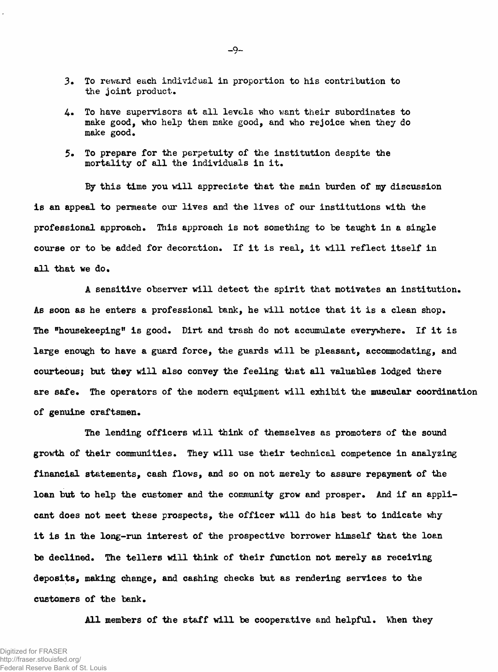- **3. To reward each individual in proportion to his contribution to the joint product.**
- **4. To have supervisors at all levels who want their subordinates to make good, who help them make good, and who rejoice when they do make good.**
- **5. To prepare for the perpetuity of the institution despite the mortality of all the individuals in it.**

**By this time you will appreciate that the main burden of my discussion is an appeal to permeate our lives and the lives of our institutions with the professional approach. This approach is not something to be taught in a single course or to be added for decoration. If it is real, it will reflect itself in all that we do.**

**A sensitive observer will detect the spirit that motivates an institution. As soon as he enters a professional bank, he will notice that it is a clean shop. The "housekeeping" is good. Dirt and trash do not accumulate everywhere. If it is large enough to have a guard force, the guards will be pleasant, accommodating, and courteous; but they will also convey the feeling that all valuables lodged there** are safe. The operators of the modern equipment will exhibit the muscular coordination **of genuine craftsmen.**

**The lending officers will think of themselves as promoters of the sound growth of their communities. They will use their technical competence in analyzing financial statements, cash flows, end so on not merely to assure repayment of the loan but to help the customer and the community grow and prosper. And if an applicant does not meet these prospects, the officer will do his best to indicate why it is in the long-run interest of the prospective borrower himself that the loan be declined. The tellers will think of their function not merely as receiving deposits, making change, and cashing checks but as rendering services to the customers of the bank.**

All members of the staff will be cooperative and helpful. When they